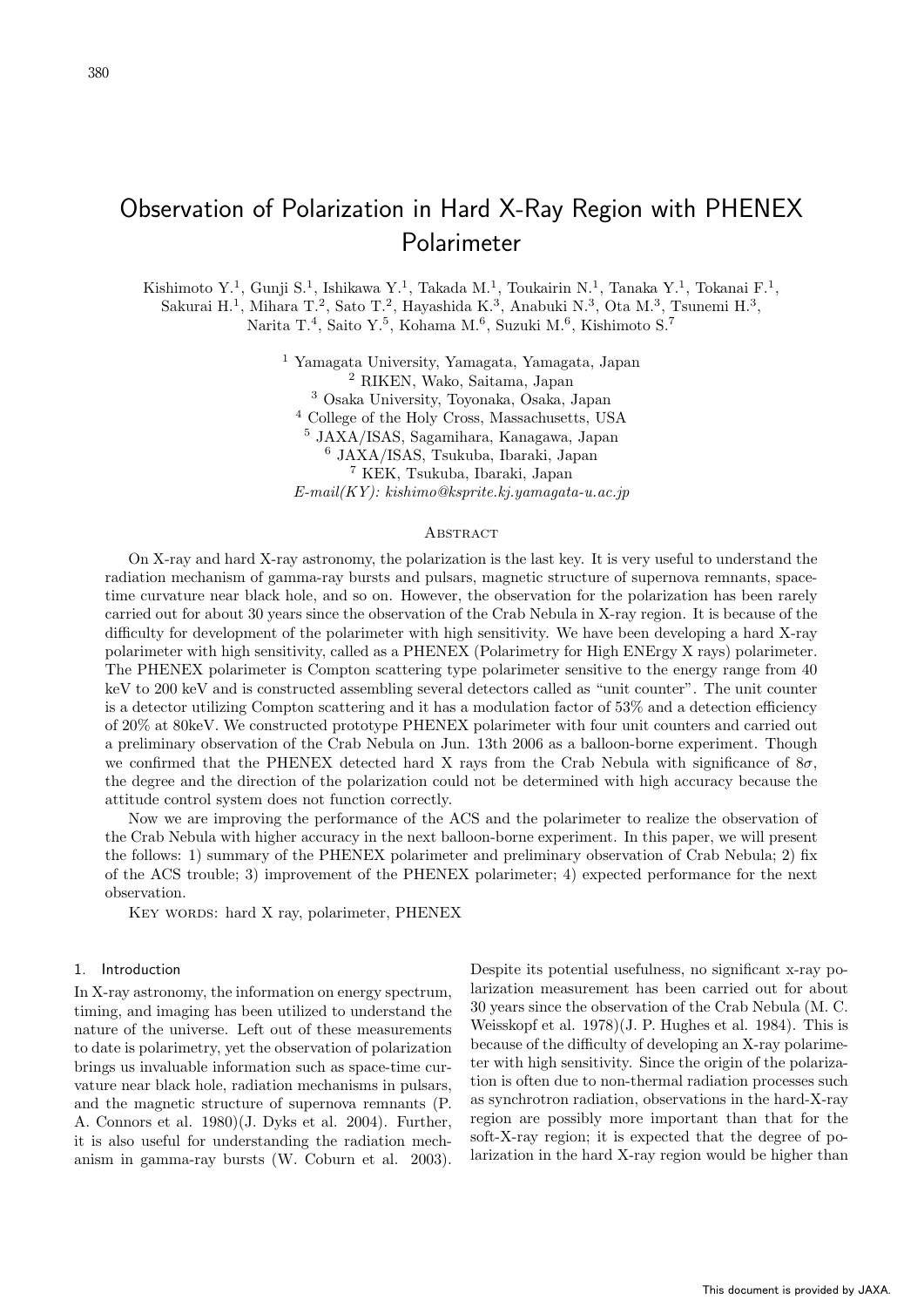# Observation of Polarization in Hard X-Ray Region with PHENEX Polarimeter

Kishimoto Y.<sup>1</sup>, Gunji S.<sup>1</sup>, Ishikawa Y.<sup>1</sup>, Takada M.<sup>1</sup>, Toukairin N.<sup>1</sup>, Tanaka Y.<sup>1</sup>, Tokanai F.<sup>1</sup>, Sakurai H.<sup>1</sup>, Mihara T.<sup>2</sup>, Sato T.<sup>2</sup>, Hayashida K.<sup>3</sup>, Anabuki N.<sup>3</sup>, Ota M.<sup>3</sup>, Tsunemi H.<sup>3</sup>,

Narita T.<sup>4</sup>, Saito Y.<sup>5</sup>, Kohama M.<sup>6</sup>, Suzuki M.<sup>6</sup>, Kishimoto S.<sup>7</sup>

 Yamagata University, Yamagata, Yamagata, Japan RIKEN, Wako, Saitama, Japan Osaka University, Toyonaka, Osaka, Japan College of the Holy Cross, Massachusetts, USA JAXA/ISAS, Sagamihara, Kanagawa, Japan JAXA/ISAS, Tsukuba, Ibaraki, Japan KEK, Tsukuba, Ibaraki, Japan *E-mail(KY): kishimo@ksprite.kj.yamagata-u.ac.jp*

#### **ABSTRACT**

On X-ray and hard X-ray astronomy, the polarization is the last key. It is very useful to understand the radiation mechanism of gamma-ray bursts and pulsars, magnetic structure of supernova remnants, spacetime curvature near black hole, and so on. However, the observation for the polarization has been rarely carried out for about 30 years since the observation of the Crab Nebula in X-ray region. It is because of the difficulty for development of the polarimeter with high sensitivity. We have been developing a hard X-ray polarimeter with high sensitivity, called as a PHENEX (Polarimetry for High ENErgy X rays) polarimeter. The PHENEX polarimeter is Compton scattering type polarimeter sensitive to the energy range from 40 keV to 200 keV and is constructed assembling several detectors called as "unit counter". The unit counter is a detector utilizing Compton scattering and it has a modulation factor of 53% and a detection efficiency of 20% at 80keV. We constructed prototype PHENEX polarimeter with four unit counters and carried out a preliminary observation of the Crab Nebula on Jun. 13th 2006 as a balloon-borne experiment. Though we confirmed that the PHENEX detected hard X rays from the Crab Nebula with significance of 8*σ*, the degree and the direction of the polarization could not be determined with high accuracy because the attitude control system does not function correctly.

Now we are improving the performance of the ACS and the polarimeter to realize the observation of the Crab Nebula with higher accuracy in the next balloon-borne experiment. In this paper, we will present the follows: 1) summary of the PHENEX polarimeter and preliminary observation of Crab Nebula; 2) fix of the ACS trouble; 3) improvement of the PHENEX polarimeter; 4) expected performance for the next observation.

KEY WORDS: hard X ray, polarimeter, PHENEX

# 1. Introduction

In X-ray astronomy, the information on energy spectrum, timing, and imaging has been utilized to understand the nature of the universe. Left out of these measurements to date is polarimetry, yet the observation of polarization brings us invaluable information such as space-time curvature near black hole, radiation mechanisms in pulsars, and the magnetic structure of supernova remnants (P. A. Connors et al. 1980)(J. Dyks et al. 2004). Further, it is also useful for understanding the radiation mechanism in gamma-ray bursts (W. Coburn et al. 2003).

Despite its potential usefulness, no significant x-ray polarization measurement has been carried out for about 30 years since the observation of the Crab Nebula (M. C. Weisskopf et al. 1978)(J. P. Hughes et al. 1984). This is because of the difficulty of developing an X-ray polarimeter with high sensitivity. Since the origin of the polarization is often due to non-thermal radiation processes such as synchrotron radiation, observations in the hard-X-ray region are possibly more important than that for the soft-X-ray region; it is expected that the degree of polarization in the hard X-ray region would be higher than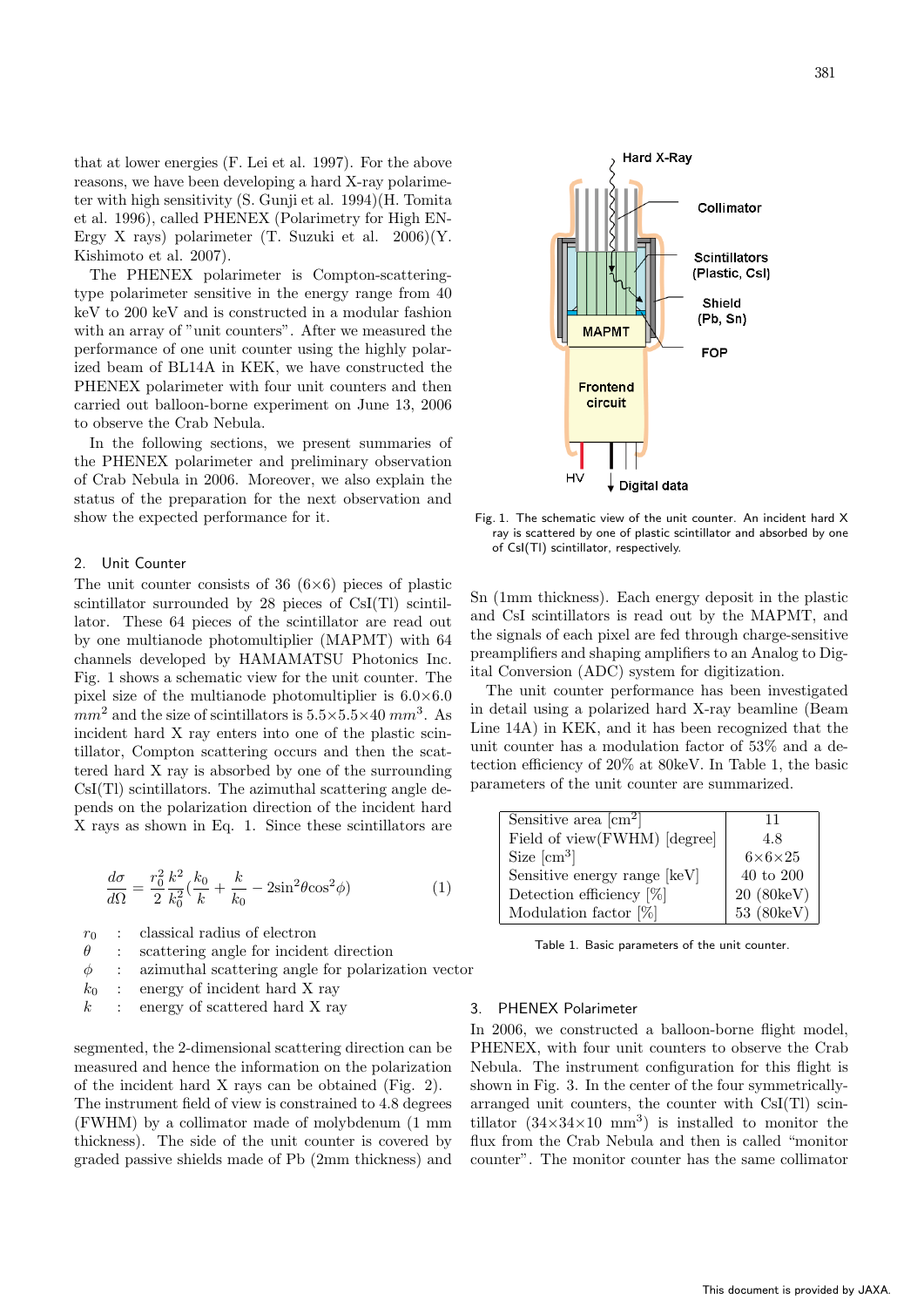that at lower energies (F. Lei et al. 1997). For the above reasons, we have been developing a hard X-ray polarimeter with high sensitivity (S. Gunji et al. 1994)(H. Tomita et al. 1996), called PHENEX (Polarimetry for High EN-Ergy X rays) polarimeter  $(T. Suzuki et al. 2006)(Y.$ Kishimoto et al. 2007).

The PHENEX polarimeter is Compton-scatteringtype polarimeter sensitive in the energy range from 40 keV to 200 keV and is constructed in a modular fashion with an array of "unit counters". After we measured the performance of one unit counter using the highly polarized beam of BL14A in KEK, we have constructed the PHENEX polarimeter with four unit counters and then carried out balloon-borne experiment on June 13, 2006 to observe the Crab Nebula.

In the following sections, we present summaries of the PHENEX polarimeter and preliminary observation of Crab Nebula in 2006. Moreover, we also explain the status of the preparation for the next observation and show the expected performance for it.

# 2. Unit Counter

The unit counter consists of 36 (6*×*6) pieces of plastic scintillator surrounded by 28 pieces of CsI(Tl) scintillator. These 64 pieces of the scintillator are read out by one multianode photomultiplier (MAPMT) with 64 channels developed by HAMAMATSU Photonics Inc. Fig. 1 shows a schematic view for the unit counter. The pixel size of the multianode photomultiplier is 6.0*×*6.0  $mm<sup>2</sup>$  and the size of scintillators is  $5.5 \times 5.5 \times 40$  mm<sup>3</sup>. As incident hard X ray enters into one of the plastic scintillator, Compton scattering occurs and then the scattered hard X ray is absorbed by one of the surrounding CsI(Tl) scintillators. The azimuthal scattering angle depends on the polarization direction of the incident hard X rays as shown in Eq. 1. Since these scintillators are

$$
\frac{d\sigma}{d\Omega} = \frac{r_0^2}{2} \frac{k^2}{k_0^2} \left(\frac{k_0}{k} + \frac{k}{k_0} - 2\sin^2\theta\cos^2\phi\right)
$$
 (1)

 $r_0$  : classical radius of electron

- $\theta$  : scattering angle for incident direction
- $\phi$  : azimuthal scattering angle for polarization vector
- $k_0$  : energy of incident hard X ray
- $k$  : energy of scattered hard X ray

segmented, the 2-dimensional scattering direction can be measured and hence the information on the polarization of the incident hard X rays can be obtained (Fig. 2). The instrument field of view is constrained to 4.8 degrees (FWHM) by a collimator made of molybdenum (1 mm thickness). The side of the unit counter is covered by graded passive shields made of Pb (2mm thickness) and



Fig. 1. The schematic view of the unit counter. An incident hard X ray is scattered by one of plastic scintillator and absorbed by one of CsI(Tl) scintillator, respectively.

Sn (1mm thickness). Each energy deposit in the plastic and CsI scintillators is read out by the MAPMT, and the signals of each pixel are fed through charge-sensitive preamplifiers and shaping amplifiers to an Analog to Digital Conversion (ADC) system for digitization.

The unit counter performance has been investigated in detail using a polarized hard X-ray beamline (Beam Line 14A) in KEK, and it has been recognized that the unit counter has a modulation factor of 53% and a detection efficiency of 20% at 80keV. In Table 1, the basic parameters of the unit counter are summarized.

| Sensitive area $\lceil$ cm <sup>2</sup> $\rceil$ | 11                  |
|--------------------------------------------------|---------------------|
| Field of view(FWHM) [degree]                     | 4.8                 |
| Size $\mathrm{[cm^3]}$                           | $6\times6\times25$  |
| Sensitive energy range [keV]                     | $40$ to $200\,$     |
| Detection efficiency $[\%]$                      | 20 (80keV)          |
| Modulation factor $[\%]$                         | $53(80 \text{keV})$ |

Table 1. Basic parameters of the unit counter.

#### 3. PHENEX Polarimeter

In 2006, we constructed a balloon-borne flight model, PHENEX, with four unit counters to observe the Crab Nebula. The instrument configuration for this flight is shown in Fig. 3. In the center of the four symmetricallyarranged unit counters, the counter with CsI(Tl) scintillator  $(34\times34\times10 \text{ mm}^3)$  is installed to monitor the flux from the Crab Nebula and then is called "monitor counter". The monitor counter has the same collimator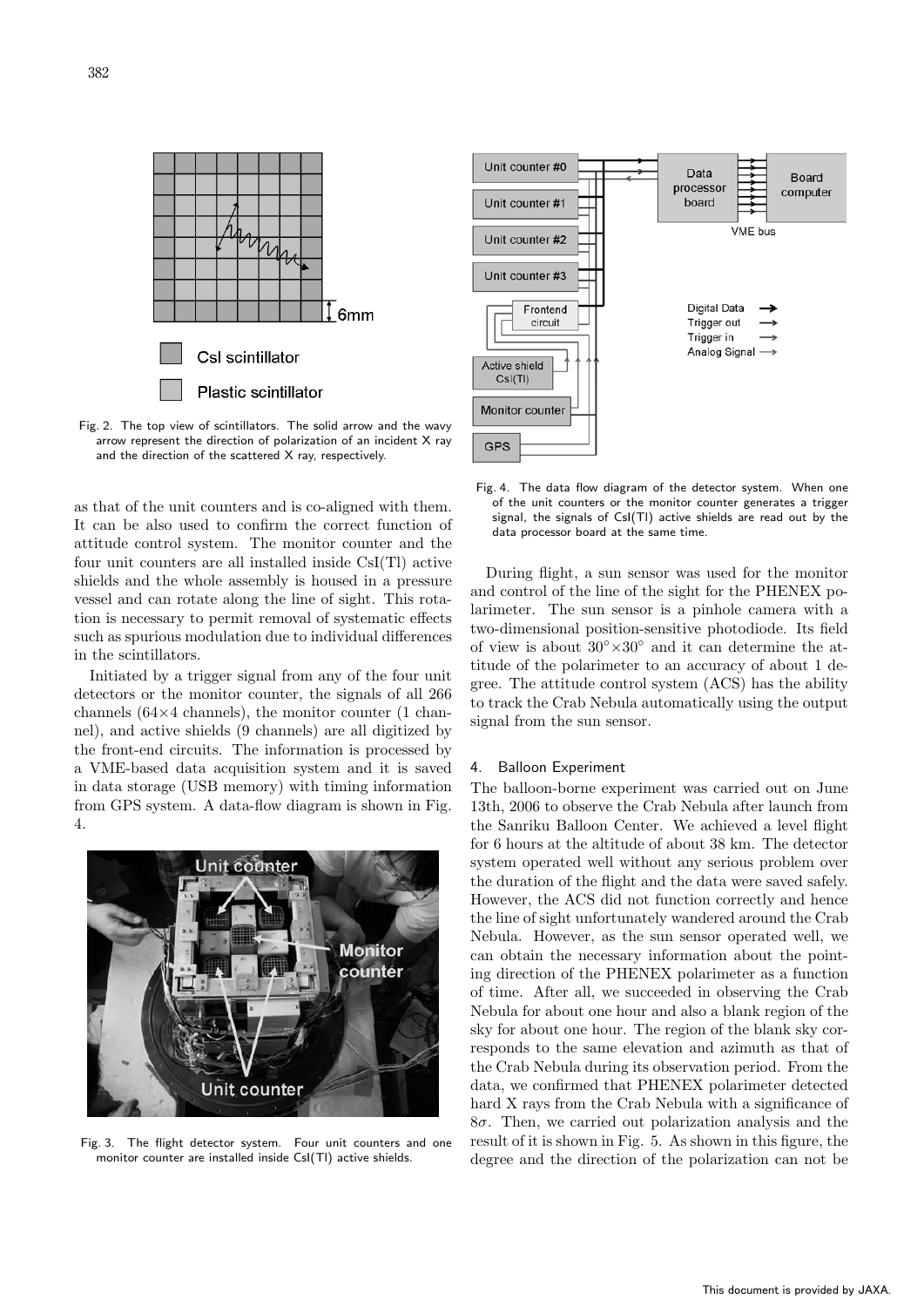

Fig. 2. The top view of scintillators. The solid arrow and the wavy arrow represent the direction of polarization of an incident X ray and the direction of the scattered X ray, respectively.

as that of the unit counters and is co-aligned with them. It can be also used to confirm the correct function of attitude control system. The monitor counter and the four unit counters are all installed inside CsI(Tl) active shields and the whole assembly is housed in a pressure vessel and can rotate along the line of sight. This rotation is necessary to permit removal of systematic effects such as spurious modulation due to individual differences in the scintillators.

Initiated by a trigger signal from any of the four unit detectors or the monitor counter, the signals of all 266 channels (64*×*4 channels), the monitor counter (1 channel), and active shields (9 channels) are all digitized by the front-end circuits. The information is processed by a VME-based data acquisition system and it is saved in data storage (USB memory) with timing information from GPS system. A data-flow diagram is shown in Fig. 4.



Fig. 3. The flight detector system. Four unit counters and one monitor counter are installed inside CsI(Tl) active shields.



Fig. 4. The data flow diagram of the detector system. When one of the unit counters or the monitor counter generates a trigger signal, the signals of CsI(Tl) active shields are read out by the data processor board at the same time.

During flight, a sun sensor was used for the monitor and control of the line of the sight for the PHENEX polarimeter. The sun sensor is a pinhole camera with a two-dimensional position-sensitive photodiode. Its field of view is about 30*◦×*30*◦* and it can determine the attitude of the polarimeter to an accuracy of about 1 degree. The attitude control system (ACS) has the ability to track the Crab Nebula automatically using the output signal from the sun sensor.

# 4. Balloon Experiment

The balloon-borne experiment was carried out on June 13th, 2006 to observe the Crab Nebula after launch from the Sanriku Balloon Center. We achieved a level flight for 6 hours at the altitude of about 38 km. The detector system operated well without any serious problem over the duration of the flight and the data were saved safely. However, the ACS did not function correctly and hence the line of sight unfortunately wandered around the Crab Nebula. However, as the sun sensor operated well, we can obtain the necessary information about the pointing direction of the PHENEX polarimeter as a function of time. After all, we succeeded in observing the Crab Nebula for about one hour and also a blank region of the sky for about one hour. The region of the blank sky corresponds to the same elevation and azimuth as that of the Crab Nebula during its observation period. From the data, we confirmed that PHENEX polarimeter detected hard X rays from the Crab Nebula with a significance of 8*σ*. Then, we carried out polarization analysis and the result of it is shown in Fig. 5. As shown in this figure, the degree and the direction of the polarization can not be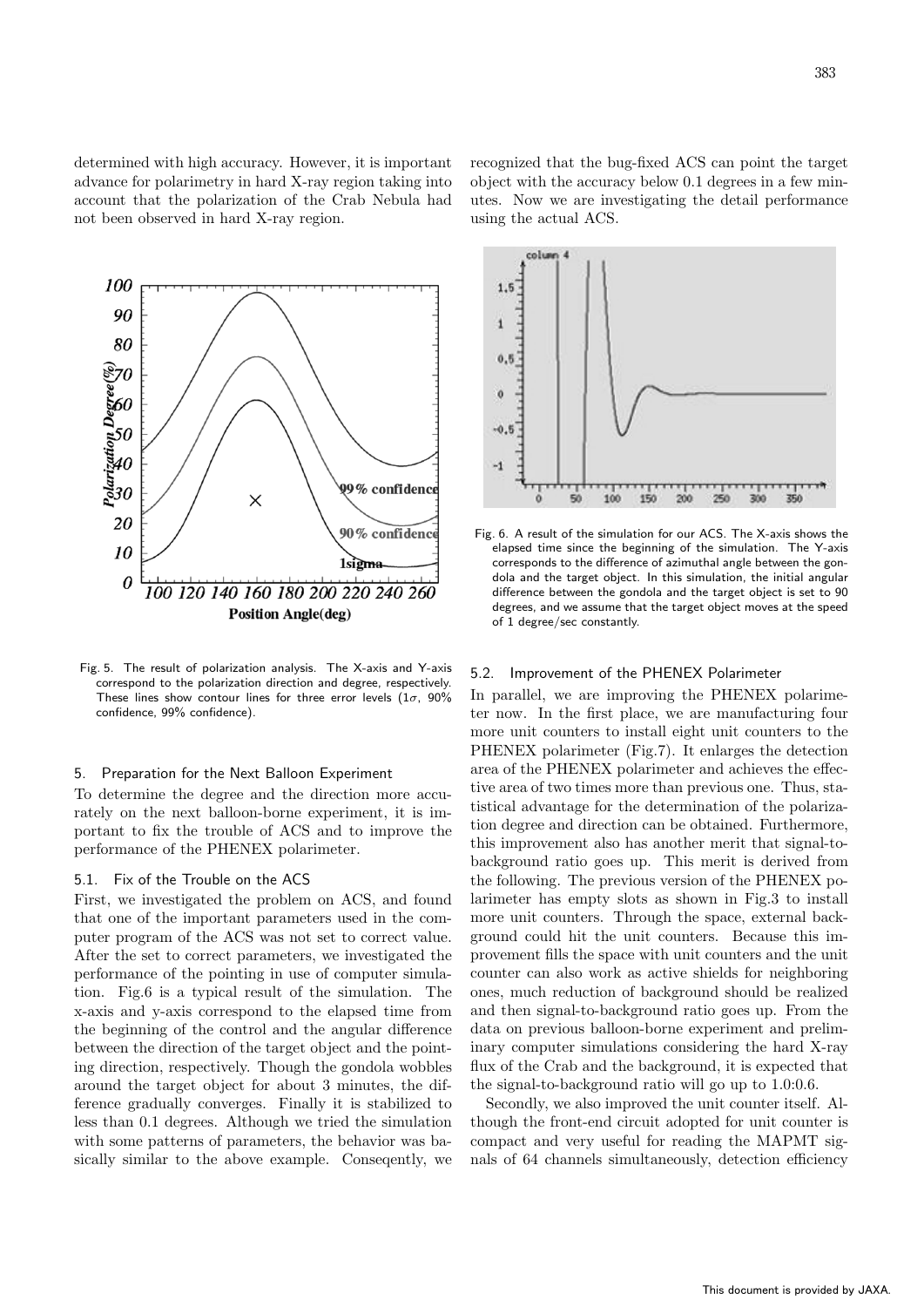determined with high accuracy. However, it is important advance for polarimetry in hard X-ray region taking into account that the polarization of the Crab Nebula had not been observed in hard X-ray region.



Fig. 5. The result of polarization analysis. The X-axis and Y-axis correspond to the polarization direction and degree, respectively. These lines show contour lines for three error levels (1*σ*, 90% confidence, 99% confidence).

# 5. Preparation for the Next Balloon Experiment

To determine the degree and the direction more accurately on the next balloon-borne experiment, it is important to fix the trouble of ACS and to improve the performance of the PHENEX polarimeter.

# 5.1. Fix of the Trouble on the ACS

First, we investigated the problem on ACS, and found that one of the important parameters used in the computer program of the ACS was not set to correct value. After the set to correct parameters, we investigated the performance of the pointing in use of computer simulation. Fig.6 is a typical result of the simulation. The x-axis and y-axis correspond to the elapsed time from the beginning of the control and the angular difference between the direction of the target object and the pointing direction, respectively. Though the gondola wobbles around the target object for about 3 minutes, the difference gradually converges. Finally it is stabilized to less than 0.1 degrees. Although we tried the simulation with some patterns of parameters, the behavior was basically similar to the above example. Conseqently, we

recognized that the bug-fixed ACS can point the target object with the accuracy below 0.1 degrees in a few minutes. Now we are investigating the detail performance using the actual ACS.



Fig. 6. A result of the simulation for our ACS. The X-axis shows the elapsed time since the beginning of the simulation. The Y-axis corresponds to the difference of azimuthal angle between the gondola and the target object. In this simulation, the initial angular difference between the gondola and the target object is set to 90 degrees, and we assume that the target object moves at the speed of 1 degree/sec constantly.

# 5.2. Improvement of the PHENEX Polarimeter

In parallel, we are improving the PHENEX polarimeter now. In the first place, we are manufacturing four more unit counters to install eight unit counters to the PHENEX polarimeter (Fig.7). It enlarges the detection area of the PHENEX polarimeter and achieves the effective area of two times more than previous one. Thus, statistical advantage for the determination of the polarization degree and direction can be obtained. Furthermore, this improvement also has another merit that signal-tobackground ratio goes up. This merit is derived from the following. The previous version of the PHENEX polarimeter has empty slots as shown in Fig.3 to install more unit counters. Through the space, external background could hit the unit counters. Because this improvement fills the space with unit counters and the unit counter can also work as active shields for neighboring ones, much reduction of background should be realized and then signal-to-background ratio goes up. From the data on previous balloon-borne experiment and preliminary computer simulations considering the hard X-ray flux of the Crab and the background, it is expected that the signal-to-background ratio will go up to 1.0:0.6.

Secondly, we also improved the unit counter itself. Although the front-end circuit adopted for unit counter is compact and very useful for reading the MAPMT signals of 64 channels simultaneously, detection efficiency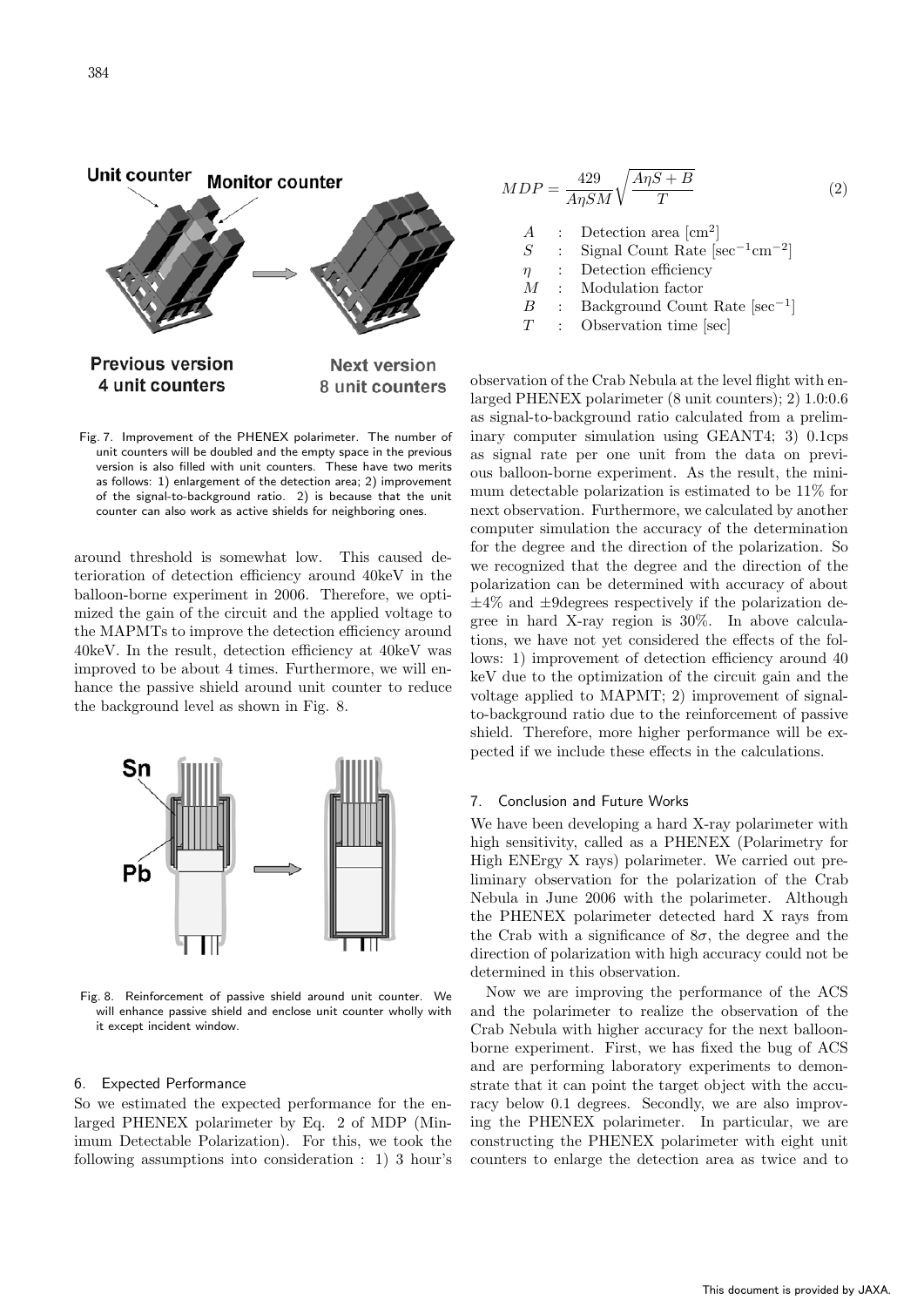

Fig. 7. Improvement of the PHENEX polarimeter. The number of unit counters will be doubled and the empty space in the previous version is also filled with unit counters. These have two merits as follows: 1) enlargement of the detection area; 2) improvement of the signal-to-background ratio. 2) is because that the unit counter can also work as active shields for neighboring ones.

around threshold is somewhat low. This caused deterioration of detection efficiency around 40keV in the balloon-borne experiment in 2006. Therefore, we optimized the gain of the circuit and the applied voltage to the MAPMTs to improve the detection efficiency around 40keV. In the result, detection efficiency at 40keV was improved to be about 4 times. Furthermore, we will enhance the passive shield around unit counter to reduce the background level as shown in Fig. 8.



Fig. 8. Reinforcement of passive shield around unit counter. We will enhance passive shield and enclose unit counter wholly with it except incident window.

# 6. Expected Performance

So we estimated the expected performance for the enlarged PHENEX polarimeter by Eq. 2 of MDP (Minimum Detectable Polarization). For this, we took the following assumptions into consideration : 1) 3 hour's

$$
MDP = \frac{429}{A\eta SM} \sqrt{\frac{A\eta S + B}{T}}
$$
(2)  
\nA : Detection area [cm<sup>2</sup>]  
\nS : Signal Count Rate [sec<sup>-1</sup> cm<sup>-2</sup>]  
\n $\eta$  : Detection efficiency  
\nM : Modulation factor  
\nB : Background Count Rate [sec<sup>-1</sup>]  
\nT : Observation time [sec]

observation of the Crab Nebula at the level flight with enlarged PHENEX polarimeter (8 unit counters); 2) 1.0:0.6 as signal-to-background ratio calculated from a preliminary computer simulation using GEANT4; 3) 0.1cps as signal rate per one unit from the data on previous balloon-borne experiment. As the result, the minimum detectable polarization is estimated to be 11% for next observation. Furthermore, we calculated by another computer simulation the accuracy of the determination for the degree and the direction of the polarization. So we recognized that the degree and the direction of the polarization can be determined with accuracy of about *±*4% and *±*9degrees respectively if the polarization degree in hard X-ray region is 30%. In above calculations, we have not yet considered the effects of the follows: 1) improvement of detection efficiency around 40 keV due to the optimization of the circuit gain and the voltage applied to MAPMT; 2) improvement of signalto-background ratio due to the reinforcement of passive shield. Therefore, more higher performance will be expected if we include these effects in the calculations.

# 7. Conclusion and Future Works

We have been developing a hard X-ray polarimeter with high sensitivity, called as a PHENEX (Polarimetry for High ENErgy X rays) polarimeter. We carried out preliminary observation for the polarization of the Crab Nebula in June 2006 with the polarimeter. Although the PHENEX polarimeter detected hard X rays from the Crab with a significance of  $8\sigma$ , the degree and the direction of polarization with high accuracy could not be determined in this observation.

Now we are improving the performance of the ACS and the polarimeter to realize the observation of the Crab Nebula with higher accuracy for the next balloonborne experiment. First, we has fixed the bug of ACS and are performing laboratory experiments to demonstrate that it can point the target object with the accuracy below 0.1 degrees. Secondly, we are also improving the PHENEX polarimeter. In particular, we are constructing the PHENEX polarimeter with eight unit counters to enlarge the detection area as twice and to